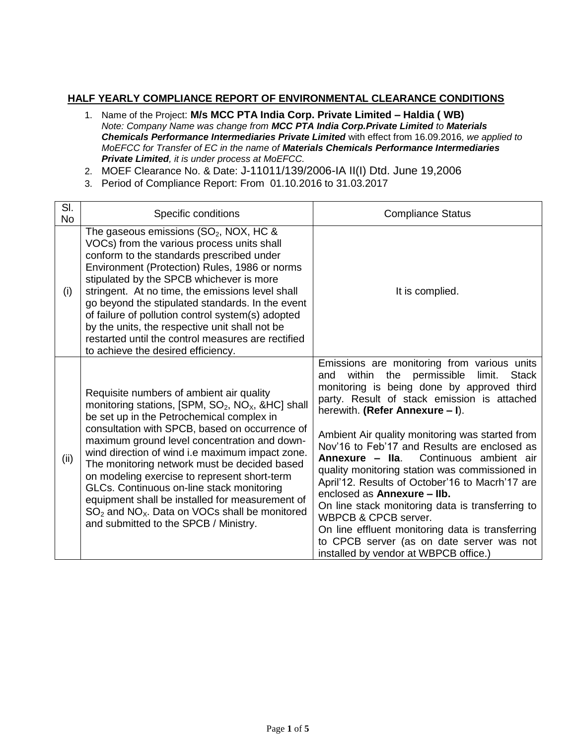## **HALF YEARLY COMPLIANCE REPORT OF ENVIRONMENTAL CLEARANCE CONDITIONS**

- 1. Name of the Project: **M/s MCC PTA India Corp. Private Limited – Haldia ( WB)** *Note: Company Name was change from MCC PTA India Corp.Private Limited to Materials Chemicals Performance Intermediaries Private Limited* with effect from 16.09.2016*, we applied to MoEFCC for Transfer of EC in the name of Materials Chemicals Performance Intermediaries Private Limited, it is under process at MoEFCC.*
- 2. MOEF Clearance No. & Date: J-11011/139/2006-IA II(I) Dtd. June 19,2006
- 3. Period of Compliance Report: From 01.10.2016 to 31.03.2017

| SI.<br><b>No</b> | Specific conditions                                                                                                                                                                                                                                                                                                                                                                                                                                                                                                                                                                                           | <b>Compliance Status</b>                                                                                                                                                                                                                                                                                                                                                                                                                                                                                                                                                                                                                                                                                                                               |
|------------------|---------------------------------------------------------------------------------------------------------------------------------------------------------------------------------------------------------------------------------------------------------------------------------------------------------------------------------------------------------------------------------------------------------------------------------------------------------------------------------------------------------------------------------------------------------------------------------------------------------------|--------------------------------------------------------------------------------------------------------------------------------------------------------------------------------------------------------------------------------------------------------------------------------------------------------------------------------------------------------------------------------------------------------------------------------------------------------------------------------------------------------------------------------------------------------------------------------------------------------------------------------------------------------------------------------------------------------------------------------------------------------|
| (i)              | The gaseous emissions $(SO2, NOX, HC &$<br>VOCs) from the various process units shall<br>conform to the standards prescribed under<br>Environment (Protection) Rules, 1986 or norms<br>stipulated by the SPCB whichever is more<br>stringent. At no time, the emissions level shall<br>go beyond the stipulated standards. In the event<br>of failure of pollution control system(s) adopted<br>by the units, the respective unit shall not be<br>restarted until the control measures are rectified<br>to achieve the desired efficiency.                                                                    | It is complied.                                                                                                                                                                                                                                                                                                                                                                                                                                                                                                                                                                                                                                                                                                                                        |
| (ii)             | Requisite numbers of ambient air quality<br>monitoring stations, [SPM, $SO_2$ , $NO_x$ , &HC] shall<br>be set up in the Petrochemical complex in<br>consultation with SPCB, based on occurrence of<br>maximum ground level concentration and down-<br>wind direction of wind i.e maximum impact zone.<br>The monitoring network must be decided based<br>on modeling exercise to represent short-term<br>GLCs. Continuous on-line stack monitoring<br>equipment shall be installed for measurement of<br>$SO2$ and NO <sub>x</sub> . Data on VOCs shall be monitored<br>and submitted to the SPCB / Ministry. | Emissions are monitoring from various units<br>within<br>the<br>permissible<br>limit.<br><b>Stack</b><br>and<br>monitoring is being done by approved third<br>party. Result of stack emission is attached<br>herewith. (Refer Annexure - I).<br>Ambient Air quality monitoring was started from<br>Nov'16 to Feb'17 and Results are enclosed as<br>Continuous ambient air<br>Annexure - Ila.<br>quality monitoring station was commissioned in<br>April'12. Results of October'16 to Macrh'17 are<br>enclosed as Annexure - Ilb.<br>On line stack monitoring data is transferring to<br>WBPCB & CPCB server.<br>On line effluent monitoring data is transferring<br>to CPCB server (as on date server was not<br>installed by vendor at WBPCB office.) |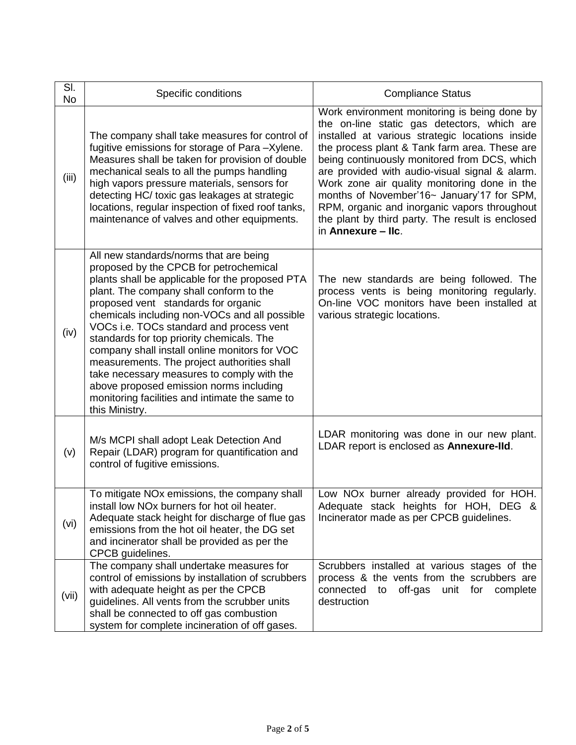| SI.<br>No | Specific conditions                                                                                                                                                                                                                                                                                                                                                                                                                                                                                                                                                                                                          | <b>Compliance Status</b>                                                                                                                                                                                                                                                                                                                                                                                                                                                                                                  |
|-----------|------------------------------------------------------------------------------------------------------------------------------------------------------------------------------------------------------------------------------------------------------------------------------------------------------------------------------------------------------------------------------------------------------------------------------------------------------------------------------------------------------------------------------------------------------------------------------------------------------------------------------|---------------------------------------------------------------------------------------------------------------------------------------------------------------------------------------------------------------------------------------------------------------------------------------------------------------------------------------------------------------------------------------------------------------------------------------------------------------------------------------------------------------------------|
| (iii)     | The company shall take measures for control of<br>fugitive emissions for storage of Para -Xylene.<br>Measures shall be taken for provision of double<br>mechanical seals to all the pumps handling<br>high vapors pressure materials, sensors for<br>detecting HC/ toxic gas leakages at strategic<br>locations, regular inspection of fixed roof tanks,<br>maintenance of valves and other equipments.                                                                                                                                                                                                                      | Work environment monitoring is being done by<br>the on-line static gas detectors, which are<br>installed at various strategic locations inside<br>the process plant & Tank farm area. These are<br>being continuously monitored from DCS, which<br>are provided with audio-visual signal & alarm.<br>Work zone air quality monitoring done in the<br>months of November'16~ January'17 for SPM,<br>RPM, organic and inorganic vapors throughout<br>the plant by third party. The result is enclosed<br>in Annexure - Ilc. |
| (iv)      | All new standards/norms that are being<br>proposed by the CPCB for petrochemical<br>plants shall be applicable for the proposed PTA<br>plant. The company shall conform to the<br>proposed vent standards for organic<br>chemicals including non-VOCs and all possible<br>VOCs i.e. TOCs standard and process vent<br>standards for top priority chemicals. The<br>company shall install online monitors for VOC<br>measurements. The project authorities shall<br>take necessary measures to comply with the<br>above proposed emission norms including<br>monitoring facilities and intimate the same to<br>this Ministry. | The new standards are being followed. The<br>process vents is being monitoring regularly.<br>On-line VOC monitors have been installed at<br>various strategic locations.                                                                                                                                                                                                                                                                                                                                                  |
| (v)       | M/s MCPI shall adopt Leak Detection And<br>Repair (LDAR) program for quantification and<br>control of fugitive emissions.                                                                                                                                                                                                                                                                                                                                                                                                                                                                                                    | LDAR monitoring was done in our new plant.<br>LDAR report is enclosed as Annexure-IId.                                                                                                                                                                                                                                                                                                                                                                                                                                    |
| (vi)      | To mitigate NOx emissions, the company shall<br>install low NOx burners for hot oil heater.<br>Adequate stack height for discharge of flue gas<br>emissions from the hot oil heater, the DG set<br>and incinerator shall be provided as per the<br>CPCB guidelines.                                                                                                                                                                                                                                                                                                                                                          | Low NOx burner already provided for HOH.<br>Adequate stack heights for HOH, DEG &<br>Incinerator made as per CPCB guidelines.                                                                                                                                                                                                                                                                                                                                                                                             |
| (vii)     | The company shall undertake measures for<br>control of emissions by installation of scrubbers<br>with adequate height as per the CPCB<br>guidelines. All vents from the scrubber units<br>shall be connected to off gas combustion<br>system for complete incineration of off gases.                                                                                                                                                                                                                                                                                                                                         | Scrubbers installed at various stages of the<br>process & the vents from the scrubbers are<br>connected<br>off-gas<br>unit for complete<br>to<br>destruction                                                                                                                                                                                                                                                                                                                                                              |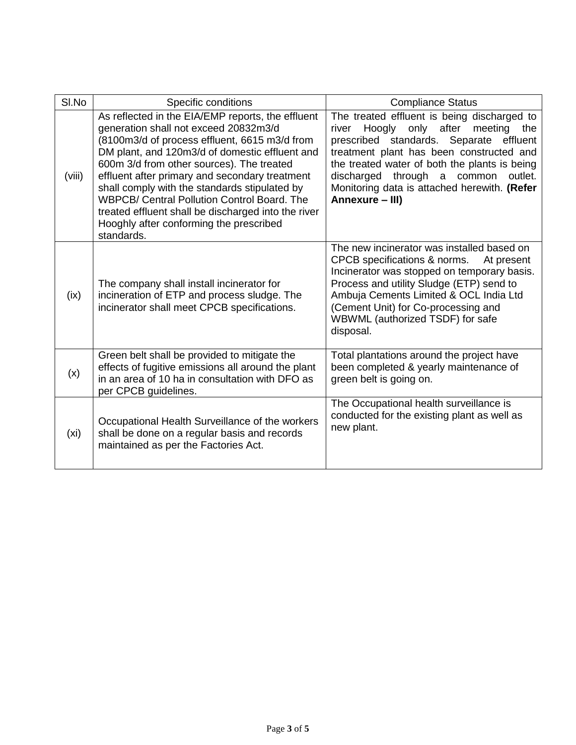| SI.No  | Specific conditions                                                                                                                                                                                                                                                                                                                                                                                                                                                                                                 | <b>Compliance Status</b>                                                                                                                                                                                                                                                                                                                                        |
|--------|---------------------------------------------------------------------------------------------------------------------------------------------------------------------------------------------------------------------------------------------------------------------------------------------------------------------------------------------------------------------------------------------------------------------------------------------------------------------------------------------------------------------|-----------------------------------------------------------------------------------------------------------------------------------------------------------------------------------------------------------------------------------------------------------------------------------------------------------------------------------------------------------------|
| (viii) | As reflected in the EIA/EMP reports, the effluent<br>generation shall not exceed 20832m3/d<br>(8100m3/d of process effluent, 6615 m3/d from<br>DM plant, and 120m3/d of domestic effluent and<br>600m 3/d from other sources). The treated<br>effluent after primary and secondary treatment<br>shall comply with the standards stipulated by<br><b>WBPCB/ Central Pollution Control Board. The</b><br>treated effluent shall be discharged into the river<br>Hooghly after conforming the prescribed<br>standards. | The treated effluent is being discharged to<br>after<br>Hoogly<br>only<br>meeting<br>the<br>river<br>prescribed standards. Separate<br>effluent<br>treatment plant has been constructed and<br>the treated water of both the plants is being<br>discharged<br>through<br>outlet.<br>a common<br>Monitoring data is attached herewith. (Refer<br>Annexure - III) |
| (ix)   | The company shall install incinerator for<br>incineration of ETP and process sludge. The<br>incinerator shall meet CPCB specifications.                                                                                                                                                                                                                                                                                                                                                                             | The new incinerator was installed based on<br>CPCB specifications & norms.<br>At present<br>Incinerator was stopped on temporary basis.<br>Process and utility Sludge (ETP) send to<br>Ambuja Cements Limited & OCL India Ltd<br>(Cement Unit) for Co-processing and<br>WBWML (authorized TSDF) for safe<br>disposal.                                           |
| (x)    | Green belt shall be provided to mitigate the<br>effects of fugitive emissions all around the plant<br>in an area of 10 ha in consultation with DFO as<br>per CPCB guidelines.                                                                                                                                                                                                                                                                                                                                       | Total plantations around the project have<br>been completed & yearly maintenance of<br>green belt is going on.                                                                                                                                                                                                                                                  |
| (xi)   | Occupational Health Surveillance of the workers<br>shall be done on a regular basis and records<br>maintained as per the Factories Act.                                                                                                                                                                                                                                                                                                                                                                             | The Occupational health surveillance is<br>conducted for the existing plant as well as<br>new plant.                                                                                                                                                                                                                                                            |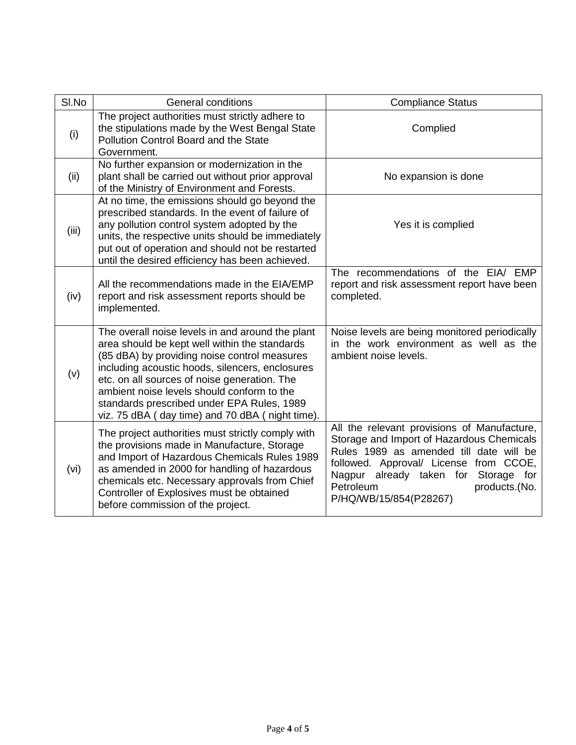| SI.No | <b>General conditions</b>                                                                                                                                                                                                                                                                                                                                                                           | <b>Compliance Status</b>                                                                                                                                                                                                                                                      |
|-------|-----------------------------------------------------------------------------------------------------------------------------------------------------------------------------------------------------------------------------------------------------------------------------------------------------------------------------------------------------------------------------------------------------|-------------------------------------------------------------------------------------------------------------------------------------------------------------------------------------------------------------------------------------------------------------------------------|
| (i)   | The project authorities must strictly adhere to<br>the stipulations made by the West Bengal State<br>Pollution Control Board and the State<br>Government.                                                                                                                                                                                                                                           | Complied                                                                                                                                                                                                                                                                      |
| (ii)  | No further expansion or modernization in the<br>plant shall be carried out without prior approval<br>of the Ministry of Environment and Forests.                                                                                                                                                                                                                                                    | No expansion is done                                                                                                                                                                                                                                                          |
| (iii) | At no time, the emissions should go beyond the<br>prescribed standards. In the event of failure of<br>any pollution control system adopted by the<br>units, the respective units should be immediately<br>put out of operation and should not be restarted<br>until the desired efficiency has been achieved.                                                                                       | Yes it is complied                                                                                                                                                                                                                                                            |
| (iv)  | All the recommendations made in the EIA/EMP<br>report and risk assessment reports should be<br>implemented.                                                                                                                                                                                                                                                                                         | The recommendations of the EIA/ EMP<br>report and risk assessment report have been<br>completed.                                                                                                                                                                              |
| (v)   | The overall noise levels in and around the plant<br>area should be kept well within the standards<br>(85 dBA) by providing noise control measures<br>including acoustic hoods, silencers, enclosures<br>etc. on all sources of noise generation. The<br>ambient noise levels should conform to the<br>standards prescribed under EPA Rules, 1989<br>viz. 75 dBA (day time) and 70 dBA (night time). | Noise levels are being monitored periodically<br>in the work environment as well as the<br>ambient noise levels.                                                                                                                                                              |
| (vi)  | The project authorities must strictly comply with<br>the provisions made in Manufacture, Storage<br>and Import of Hazardous Chemicals Rules 1989<br>as amended in 2000 for handling of hazardous<br>chemicals etc. Necessary approvals from Chief<br>Controller of Explosives must be obtained<br>before commission of the project.                                                                 | All the relevant provisions of Manufacture,<br>Storage and Import of Hazardous Chemicals<br>Rules 1989 as amended till date will be<br>followed. Approval/ License from CCOE,<br>Nagpur already taken for Storage for<br>Petroleum<br>products.(No.<br>P/HQ/WB/15/854(P28267) |